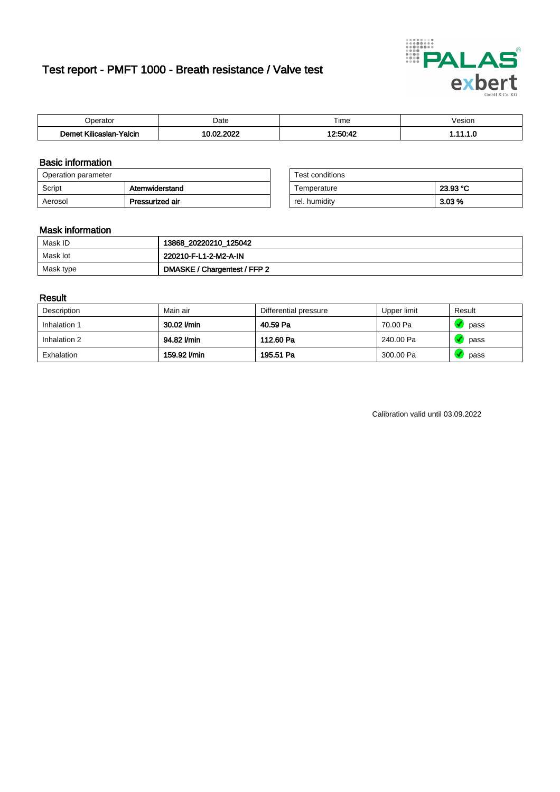# Test report - PMFT 1000 - Breath resistance / Valve test



| Joerator                           | Date                         | $- \cdot$<br>Гіmе | esion/ |
|------------------------------------|------------------------------|-------------------|--------|
| .<br>Yalcin<br>⊿slan-`<br>∴∧Ilicae | 000 <sup>2</sup><br>.00<br>. | $10.50 - 10$      | .      |

### Basic information

| Operation parameter |                 | Test conditions |          |
|---------------------|-----------------|-----------------|----------|
| Script              | Atemwiderstand  | Temperature     | 23.93 °C |
| Aerosol             | Pressurized air | rel. humiditv   | $3.03\%$ |

| Test conditions |          |
|-----------------|----------|
| Temperature     | 23.93 °C |
| rel. humidity   | 3.03 %   |

### Mask information

| Mask ID   | 13868_20220210_125042        |
|-----------|------------------------------|
| Mask lot  | 220210-F-L1-2-M2-A-IN        |
| Mask type | DMASKE / Chargentest / FFP 2 |

### Result

| Description  | Main air     | Differential pressure | Upper limit | Result |
|--------------|--------------|-----------------------|-------------|--------|
| Inhalation 1 | 30.02 l/min  | 40.59 Pa              | 70.00 Pa    | pass   |
| Inhalation 2 | 94.82 l/min  | 112.60 Pa             | 240.00 Pa   | pass   |
| Exhalation   | 159.92 I/min | 195.51 Pa             | 300.00 Pa   | pass   |

Calibration valid until 03.09.2022